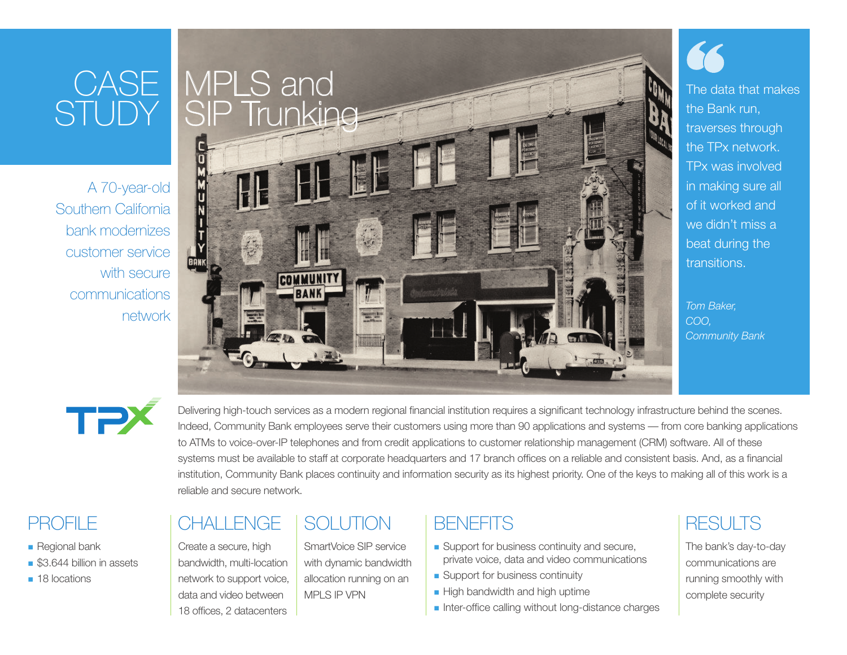# **CASE** STUDY

A 70-year-old Southern California bank modernizes customer service with secure communications network



The data that makes the Bank run, traverses through the TPx network. TPx was involved in making sure all of it worked and we didn't miss a beat during the transitions.

 $\gamma$ 

*Tom Baker, COO, Community Bank*



## PROFILE

- **Regional bank**
- **n** \$3.644 billion in assets
- n 18 locations

### Delivering high-touch services as a modern regional financial institution requires a significant technology infrastructure behind the scenes. Indeed, Community Bank employees serve their customers using more than 90 applications and systems — from core banking applications to ATMs to voice-over-IP telephones and from credit applications to customer relationship management (CRM) software. All of these systems must be available to staff at corporate headquarters and 17 branch offices on a reliable and consistent basis. And, as a financial institution, Community Bank places continuity and information security as its highest priority. One of the keys to making all of this work is a reliable and secure network.

# CHALLENGE SOLUTION BENEFITS RESULTS

Create a secure, high bandwidth, multi-location network to support voice, data and video between 18 offices, 2 datacenters

SmartVoice SIP service with dynamic bandwidth allocation running on an MPLS IP VPN

- **n** Support for business continuity and secure, private voice, data and video communications
- **n** Support for business continuity
- **n** High bandwidth and high uptime
- n Inter-office calling without long-distance charges

The bank's day-to-day communications are running smoothly with complete security